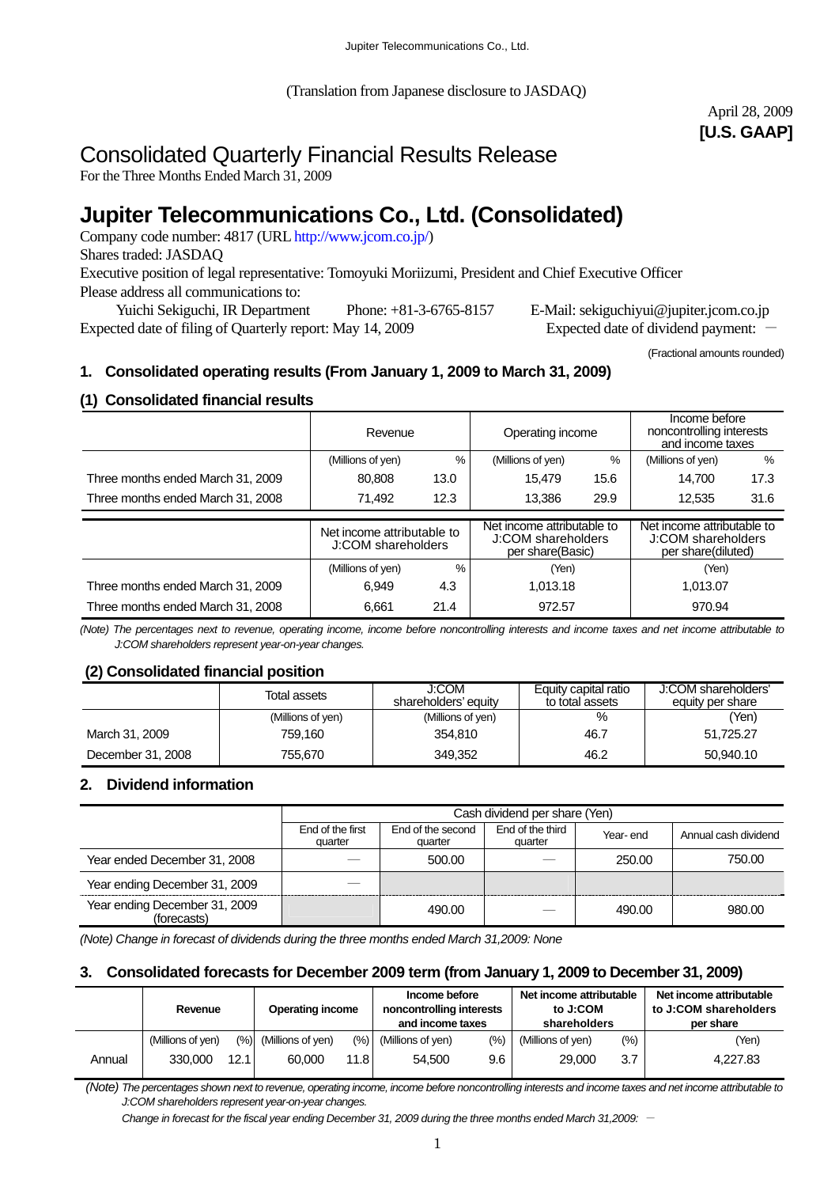(Translation from Japanese disclosure to JASDAQ)

# April 28, 2009 **[U.S. GAAP]**

# Consolidated Quarterly Financial Results Release

For the Three Months Ended March 31, 2009

# **Jupiter Telecommunications Co., Ltd. (Consolidated)**

Company code number: 4817 (URL http://www.jcom.co.jp/) Shares traded: JASDAQ Executive position of legal representative: Tomoyuki Moriizumi, President and Chief Executive Officer Please address all communications to:

 Yuichi Sekiguchi, IR Department Phone: +81-3-6765-8157 E-Mail: sekiguchiyui@jupiter.jcom.co.jp Expected date of filing of Quarterly report: May 14, 2009 Expected date of dividend payment:

(Fractional amounts rounded)

## **1. Consolidated operating results (From January 1, 2009 to March 31, 2009)**

## **(1) Consolidated financial results**

|                                   | Revenue                                          |  | Operating income                       |      | Income before<br>noncontrolling interests<br>and income taxes |      |
|-----------------------------------|--------------------------------------------------|--|----------------------------------------|------|---------------------------------------------------------------|------|
|                                   | %<br>(Millions of yen)                           |  | (Millions of yen)                      | $\%$ | (Millions of yen)                                             | %    |
| Three months ended March 31, 2009 | 80,808<br>13.0                                   |  | 15.479                                 | 15.6 | 14.700                                                        | 17.3 |
| Three months ended March 31, 2008 | 12.3<br>71.492                                   |  | 13.386                                 | 29.9 | 12.535                                                        | 31.6 |
|                                   |                                                  |  | Net income attributable to             |      | Net income attributable to                                    |      |
|                                   | Net income attributable to<br>J:COM shareholders |  | J:COM shareholders<br>per share(Basic) |      | J:COM shareholders<br>per share(diluted)                      |      |
|                                   | $\frac{0}{0}$<br>(Millions of yen)               |  | (Yen)                                  |      | (Yen)                                                         |      |
| Three months ended March 31, 2009 | 4.3<br>6,949                                     |  | 1.013.18                               |      | 1,013.07                                                      |      |
| Three months ended March 31, 2008 | 21.4<br>6.661                                    |  | 972.57                                 |      | 970.94                                                        |      |

*(Note) The percentages next to revenue, operating income, income before noncontrolling interests and income taxes and net income attributable to J:COM shareholders represent year-on-year changes.* 

## **(2) Consolidated financial position**

|                   | Total assets      | J:COM<br>shareholders' equity | Equity capital ratio<br>to total assets | J:COM shareholders'<br>equity per share |
|-------------------|-------------------|-------------------------------|-----------------------------------------|-----------------------------------------|
|                   | (Millions of yen) | (Millions of yen)             | %                                       | (Yen)                                   |
| March 31, 2009    | 759.160           | 354.810                       | 46.7                                    | 51,725.27                               |
| December 31, 2008 | 755.670           | 349,352                       | 46.2                                    | 50.940.10                               |

## **2. Dividend information**

|                                              | Cash dividend per share (Yen) |                              |                             |          |                      |  |  |
|----------------------------------------------|-------------------------------|------------------------------|-----------------------------|----------|----------------------|--|--|
|                                              | End of the first<br>quarter   | End of the second<br>quarter | End of the third<br>quarter | Year-end | Annual cash dividend |  |  |
| Year ended December 31, 2008                 |                               | 500.00                       |                             | 250.00   | 750.00               |  |  |
| Year ending December 31, 2009                |                               |                              |                             |          |                      |  |  |
| Year ending December 31, 2009<br>(forecasts) |                               | 490.00                       |                             | 490.00   | 980.00               |  |  |

*(Note) Change in forecast of dividends during the three months ended March 31,2009: None* 

## **3. Consolidated forecasts for December 2009 term (from January 1, 2009 to December 31, 2009)**

|        | Revenue           |       | <b>Operating income</b>  |      | Income before<br>noncontrolling interests<br>and income taxes |     | Net income attributable<br>to J:COM<br>shareholders |         | Net income attributable<br>to J:COM shareholders<br>per share |  |
|--------|-------------------|-------|--------------------------|------|---------------------------------------------------------------|-----|-----------------------------------------------------|---------|---------------------------------------------------------------|--|
|        | (Millions of yen) |       | $(\%)$ (Millions of yen) | (%)  | (Millions of yen)                                             | (%) | (Millions of yen)                                   | $(\% )$ | (Yen)                                                         |  |
| Annual | 330.000           | 12.11 | 60,000                   | 11.8 | 54.500                                                        | 9.6 | 29,000                                              | 3.7     | 4.227.83                                                      |  |

 *(Note) The percentages shown next to revenue, operating income, income before noncontrolling interests and income taxes and net income attributable to J:COM shareholders represent year-on-year changes.* 

*Change in forecast for the fiscal year ending December 31, 2009 during the three months ended March 31,2009:* -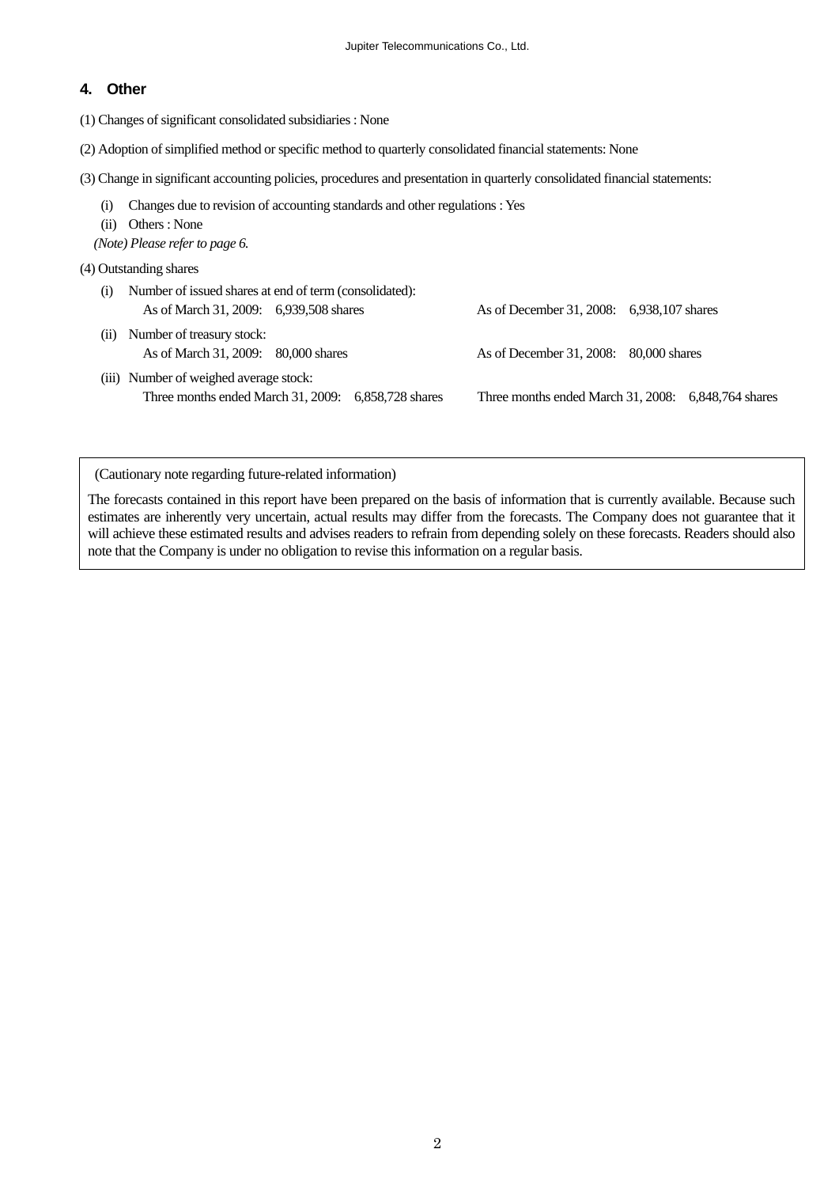#### **4. Other**

(1) Changes of significant consolidated subsidiaries : None

- (2) Adoption of simplified method or specific method to quarterly consolidated financial statements: None
- (3) Change in significant accounting policies, procedures and presentation in quarterly consolidated financial statements:
	- (i) Changes due to revision of accounting standards and other regulations : Yes
	- (ii) Others : None
	- *(Note) Please refer to page 6.*
- (4) Outstanding shares

| (i) | Number of issued shares at end of term (consolidated):           |                                                     |
|-----|------------------------------------------------------------------|-----------------------------------------------------|
|     | As of March 31, 2009: 6,939,508 shares                           | As of December 31, 2008: 6,938,107 shares           |
| (i) | Number of treasury stock:<br>As of March 31, 2009: 80,000 shares | As of December 31, 2008: 80,000 shares              |
|     |                                                                  |                                                     |
|     | (iii) Number of weighed average stock:                           |                                                     |
|     | Three months ended March 31, 2009: $6,858,728$ shares            | Three months ended March 31, 2008: 6,848,764 shares |

(Cautionary note regarding future-related information)

The forecasts contained in this report have been prepared on the basis of information that is currently available. Because such estimates are inherently very uncertain, actual results may differ from the forecasts. The Company does not guarantee that it will achieve these estimated results and advises readers to refrain from depending solely on these forecasts. Readers should also note that the Company is under no obligation to revise this information on a regular basis.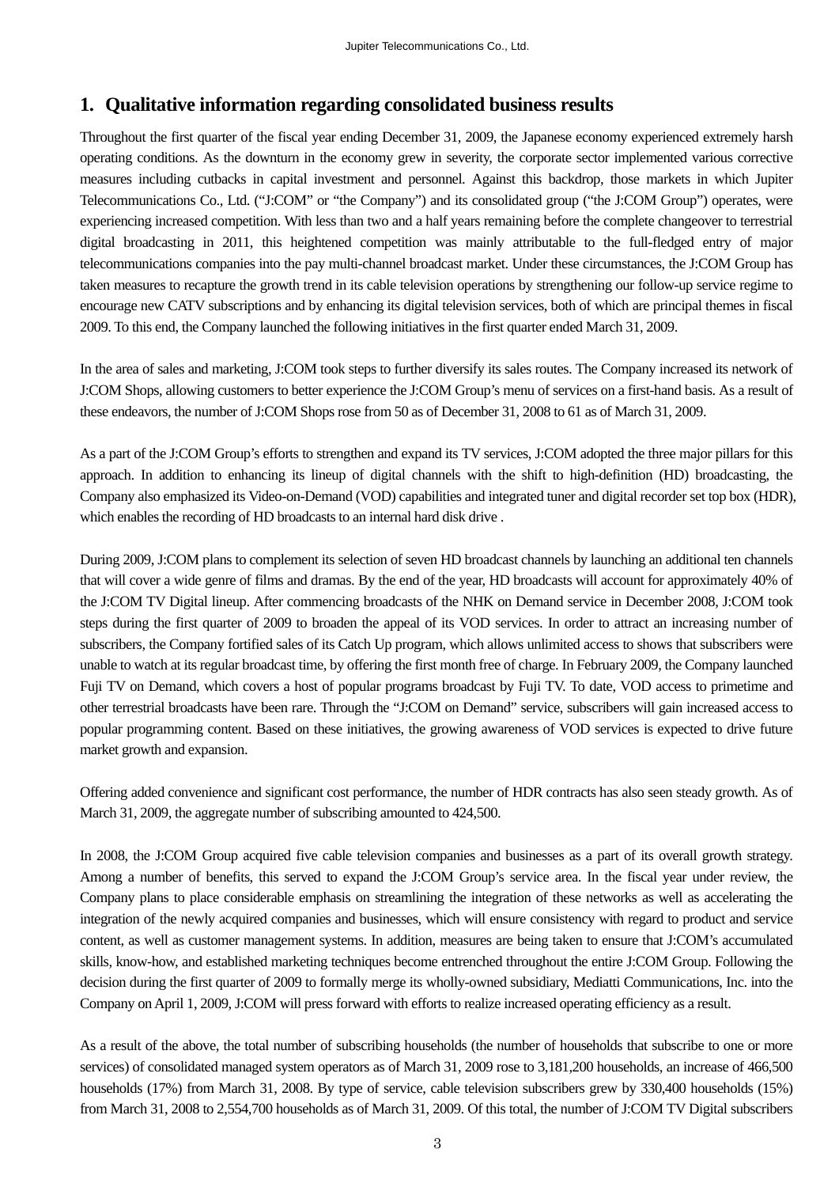# **1. Qualitative information regarding consolidated business results**

Throughout the first quarter of the fiscal year ending December 31, 2009, the Japanese economy experienced extremely harsh operating conditions. As the downturn in the economy grew in severity, the corporate sector implemented various corrective measures including cutbacks in capital investment and personnel. Against this backdrop, those markets in which Jupiter Telecommunications Co., Ltd. ("J:COM" or "the Company") and its consolidated group ("the J:COM Group") operates, were experiencing increased competition. With less than two and a half years remaining before the complete changeover to terrestrial digital broadcasting in 2011, this heightened competition was mainly attributable to the full-fledged entry of major telecommunications companies into the pay multi-channel broadcast market. Under these circumstances, the J:COM Group has taken measures to recapture the growth trend in its cable television operations by strengthening our follow-up service regime to encourage new CATV subscriptions and by enhancing its digital television services, both of which are principal themes in fiscal 2009. To this end, the Company launched the following initiatives in the first quarter ended March 31, 2009.

In the area of sales and marketing, J:COM took steps to further diversify its sales routes. The Company increased its network of J:COM Shops, allowing customers to better experience the J:COM Group's menu of services on a first-hand basis. As a result of these endeavors, the number of J:COM Shops rose from 50 as of December 31, 2008 to 61 as of March 31, 2009.

As a part of the J:COM Group's efforts to strengthen and expand its TV services, J:COM adopted the three major pillars for this approach. In addition to enhancing its lineup of digital channels with the shift to high-definition (HD) broadcasting, the Company also emphasized its Video-on-Demand (VOD) capabilities and integrated tuner and digital recorder set top box (HDR), which enables the recording of HD broadcasts to an internal hard disk drive.

During 2009, J:COM plans to complement its selection of seven HD broadcast channels by launching an additional ten channels that will cover a wide genre of films and dramas. By the end of the year, HD broadcasts will account for approximately 40% of the J:COM TV Digital lineup. After commencing broadcasts of the NHK on Demand service in December 2008, J:COM took steps during the first quarter of 2009 to broaden the appeal of its VOD services. In order to attract an increasing number of subscribers, the Company fortified sales of its Catch Up program, which allows unlimited access to shows that subscribers were unable to watch at its regular broadcast time, by offering the first month free of charge. In February 2009, the Company launched Fuji TV on Demand, which covers a host of popular programs broadcast by Fuji TV. To date, VOD access to primetime and other terrestrial broadcasts have been rare. Through the "J:COM on Demand" service, subscribers will gain increased access to popular programming content. Based on these initiatives, the growing awareness of VOD services is expected to drive future market growth and expansion.

Offering added convenience and significant cost performance, the number of HDR contracts has also seen steady growth. As of March 31, 2009, the aggregate number of subscribing amounted to 424,500.

In 2008, the J:COM Group acquired five cable television companies and businesses as a part of its overall growth strategy. Among a number of benefits, this served to expand the J:COM Group's service area. In the fiscal year under review, the Company plans to place considerable emphasis on streamlining the integration of these networks as well as accelerating the integration of the newly acquired companies and businesses, which will ensure consistency with regard to product and service content, as well as customer management systems. In addition, measures are being taken to ensure that J:COM's accumulated skills, know-how, and established marketing techniques become entrenched throughout the entire J:COM Group. Following the decision during the first quarter of 2009 to formally merge its wholly-owned subsidiary, Mediatti Communications, Inc. into the Company on April 1, 2009, J:COM will press forward with efforts to realize increased operating efficiency as a result.

As a result of the above, the total number of subscribing households (the number of households that subscribe to one or more services) of consolidated managed system operators as of March 31, 2009 rose to 3,181,200 households, an increase of 466,500 households (17%) from March 31, 2008. By type of service, cable television subscribers grew by 330,400 households (15%) from March 31, 2008 to 2,554,700 households as of March 31, 2009. Of this total, the number of J:COM TV Digital subscribers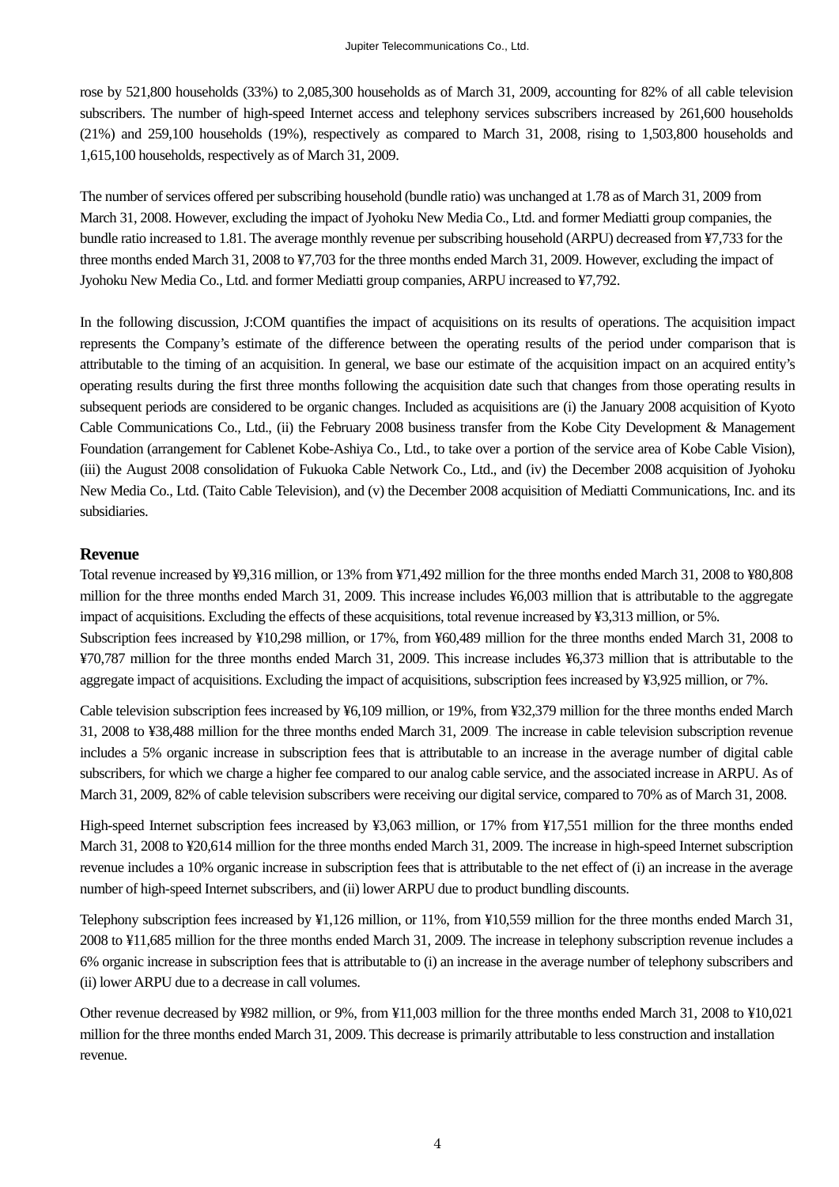rose by 521,800 households (33%) to 2,085,300 households as of March 31, 2009, accounting for 82% of all cable television subscribers. The number of high-speed Internet access and telephony services subscribers increased by 261,600 households (21%) and 259,100 households (19%), respectively as compared to March 31, 2008, rising to 1,503,800 households and 1,615,100 households, respectively as of March 31, 2009.

The number of services offered per subscribing household (bundle ratio) was unchanged at 1.78 as of March 31, 2009 from March 31, 2008. However, excluding the impact of Jyohoku New Media Co., Ltd. and former Mediatti group companies, the bundle ratio increased to 1.81. The average monthly revenue per subscribing household (ARPU) decreased from ¥7,733 for the three months ended March 31, 2008 to ¥7,703 for the three months ended March 31, 2009. However, excluding the impact of Jyohoku New Media Co., Ltd. and former Mediatti group companies, ARPU increased to ¥7,792.

In the following discussion, J:COM quantifies the impact of acquisitions on its results of operations. The acquisition impact represents the Company's estimate of the difference between the operating results of the period under comparison that is attributable to the timing of an acquisition. In general, we base our estimate of the acquisition impact on an acquired entity's operating results during the first three months following the acquisition date such that changes from those operating results in subsequent periods are considered to be organic changes. Included as acquisitions are (i) the January 2008 acquisition of Kyoto Cable Communications Co., Ltd., (ii) the February 2008 business transfer from the Kobe City Development & Management Foundation (arrangement for Cablenet Kobe-Ashiya Co., Ltd., to take over a portion of the service area of Kobe Cable Vision), (iii) the August 2008 consolidation of Fukuoka Cable Network Co., Ltd., and (iv) the December 2008 acquisition of Jyohoku New Media Co., Ltd. (Taito Cable Television), and (v) the December 2008 acquisition of Mediatti Communications, Inc. and its subsidiaries.

## **Revenue**

Total revenue increased by ¥9,316 million, or 13% from ¥71,492 million for the three months ended March 31, 2008 to ¥80,808 million for the three months ended March 31, 2009. This increase includes ¥6,003 million that is attributable to the aggregate impact of acquisitions. Excluding the effects of these acquisitions, total revenue increased by ¥3,313 million, or 5%. Subscription fees increased by ¥10,298 million, or 17%, from ¥60,489 million for the three months ended March 31, 2008 to ¥70,787 million for the three months ended March 31, 2009. This increase includes ¥6,373 million that is attributable to the

aggregate impact of acquisitions. Excluding the impact of acquisitions, subscription fees increased by ¥3,925 million, or 7%.

Cable television subscription fees increased by ¥6,109 million, or 19%, from ¥32,379 million for the three months ended March 31, 2008 to ¥38,488 million for the three months ended March 31, 2009. The increase in cable television subscription revenue includes a 5% organic increase in subscription fees that is attributable to an increase in the average number of digital cable subscribers, for which we charge a higher fee compared to our analog cable service, and the associated increase in ARPU. As of March 31, 2009, 82% of cable television subscribers were receiving our digital service, compared to 70% as of March 31, 2008.

High-speed Internet subscription fees increased by ¥3,063 million, or 17% from ¥17,551 million for the three months ended March 31, 2008 to ¥20,614 million for the three months ended March 31, 2009. The increase in high-speed Internet subscription revenue includes a 10% organic increase in subscription fees that is attributable to the net effect of (i) an increase in the average number of high-speed Internet subscribers, and (ii) lower ARPU due to product bundling discounts.

Telephony subscription fees increased by ¥1,126 million, or 11%, from ¥10,559 million for the three months ended March 31, 2008 to ¥11,685 million for the three months ended March 31, 2009. The increase in telephony subscription revenue includes a 6% organic increase in subscription fees that is attributable to (i) an increase in the average number of telephony subscribers and (ii) lower ARPU due to a decrease in call volumes.

Other revenue decreased by ¥982 million, or 9%, from ¥11,003 million for the three months ended March 31, 2008 to ¥10,021 million for the three months ended March 31, 2009. This decrease is primarily attributable to less construction and installation revenue.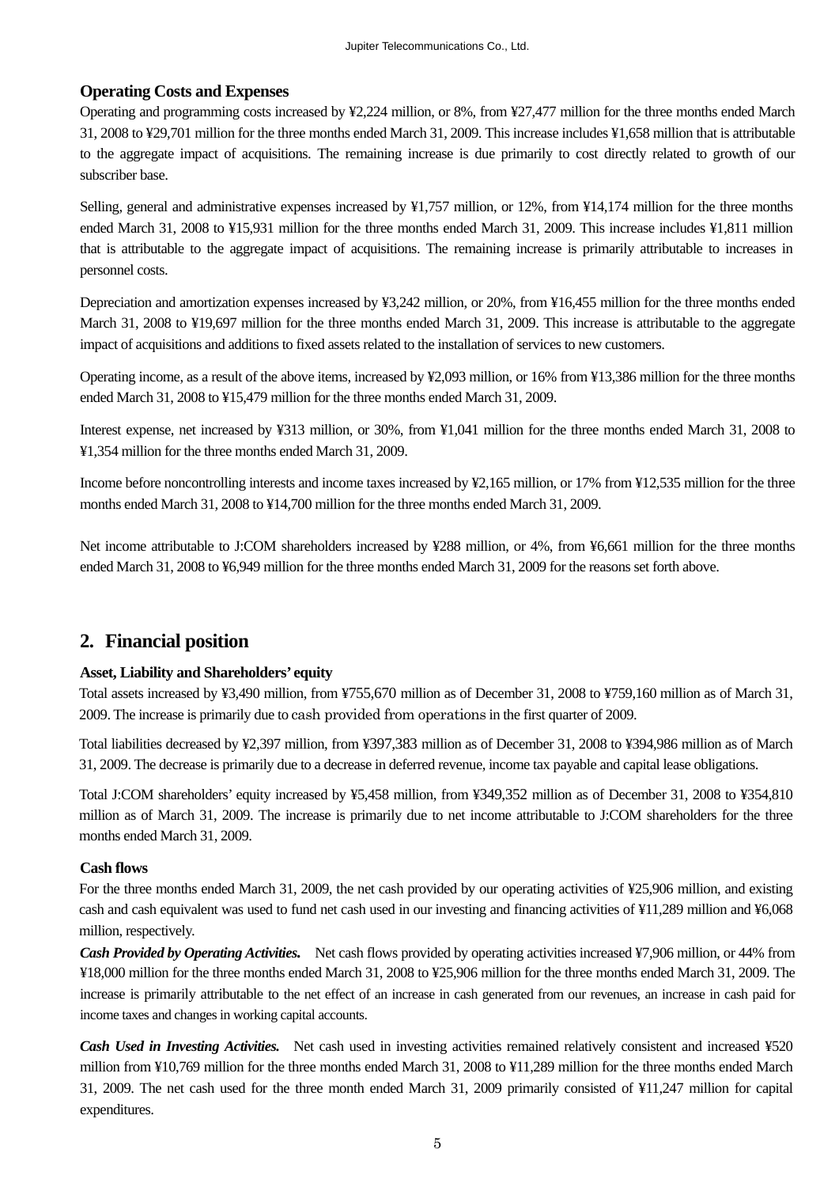## **Operating Costs and Expenses**

Operating and programming costs increased by ¥2,224 million, or 8%, from ¥27,477 million for the three months ended March 31, 2008 to ¥29,701 million for the three months ended March 31, 2009. This increase includes ¥1,658 million that is attributable to the aggregate impact of acquisitions. The remaining increase is due primarily to cost directly related to growth of our subscriber base.

Selling, general and administrative expenses increased by ¥1,757 million, or 12%, from ¥14,174 million for the three months ended March 31, 2008 to ¥15,931 million for the three months ended March 31, 2009. This increase includes ¥1,811 million that is attributable to the aggregate impact of acquisitions. The remaining increase is primarily attributable to increases in personnel costs.

Depreciation and amortization expenses increased by ¥3,242 million, or 20%, from ¥16,455 million for the three months ended March 31, 2008 to ¥19,697 million for the three months ended March 31, 2009. This increase is attributable to the aggregate impact of acquisitions and additions to fixed assets related to the installation of services to new customers.

Operating income, as a result of the above items, increased by ¥2,093 million, or 16% from ¥13,386 million for the three months ended March 31, 2008 to ¥15,479 million for the three months ended March 31, 2009.

Interest expense, net increased by ¥313 million, or 30%, from ¥1,041 million for the three months ended March 31, 2008 to ¥1,354 million for the three months ended March 31, 2009.

Income before noncontrolling interests and income taxes increased by ¥2,165 million, or 17% from ¥12,535 million for the three months ended March 31, 2008 to ¥14,700 million for the three months ended March 31, 2009.

Net income attributable to J:COM shareholders increased by ¥288 million, or 4%, from ¥6,661 million for the three months ended March 31, 2008 to ¥6,949 million for the three months ended March 31, 2009 for the reasons set forth above.

# **2. Financial position**

#### **Asset, Liability and Shareholders' equity**

Total assets increased by ¥3,490 million, from ¥755,670 million as of December 31, 2008 to ¥759,160 million as of March 31, 2009. The increase is primarily due to cash provided from operations in the first quarter of 2009.

Total liabilities decreased by ¥2,397 million, from ¥397,383 million as of December 31, 2008 to ¥394,986 million as of March 31, 2009. The decrease is primarily due to a decrease in deferred revenue, income tax payable and capital lease obligations.

Total J:COM shareholders' equity increased by ¥5,458 million, from ¥349,352 million as of December 31, 2008 to ¥354,810 million as of March 31, 2009. The increase is primarily due to net income attributable to J:COM shareholders for the three months ended March 31, 2009.

#### **Cash flows**

For the three months ended March 31, 2009, the net cash provided by our operating activities of ¥25,906 million, and existing cash and cash equivalent was used to fund net cash used in our investing and financing activities of ¥11,289 million and ¥6,068 million, respectively.

*Cash Provided by Operating Activities.* Net cash flows provided by operating activities increased ¥7,906 million, or 44% from ¥18,000 million for the three months ended March 31, 2008 to ¥25,906 million for the three months ended March 31, 2009. The increase is primarily attributable to the net effect of an increase in cash generated from our revenues, an increase in cash paid for income taxes and changes in working capital accounts.

*Cash Used in Investing Activities.* Net cash used in investing activities remained relatively consistent and increased ¥520 million from ¥10,769 million for the three months ended March 31, 2008 to ¥11,289 million for the three months ended March 31, 2009. The net cash used for the three month ended March 31, 2009 primarily consisted of ¥11,247 million for capital expenditures.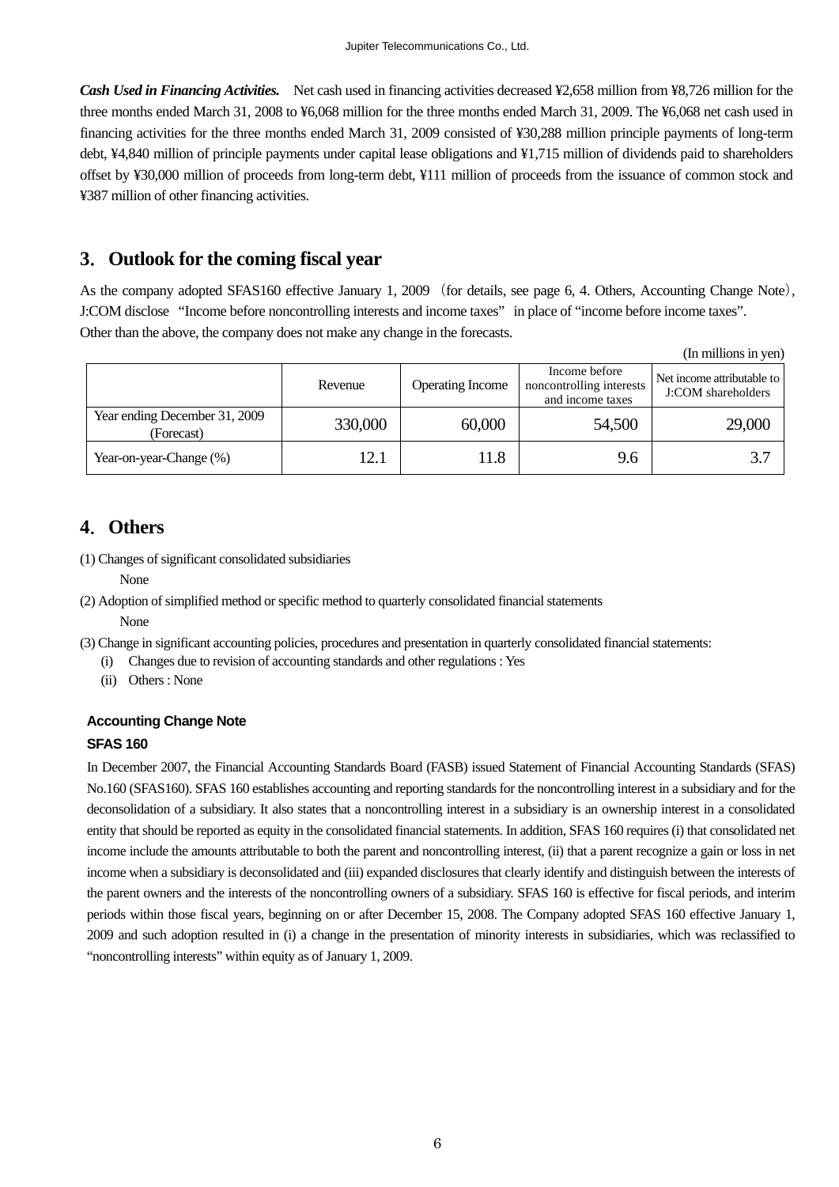*Cash Used in Financing Activities.* Net cash used in financing activities decreased ¥2,658 million from ¥8,726 million for the three months ended March 31, 2008 to ¥6,068 million for the three months ended March 31, 2009. The ¥6,068 net cash used in financing activities for the three months ended March 31, 2009 consisted of ¥30,288 million principle payments of long-term debt, ¥4,840 million of principle payments under capital lease obligations and ¥1,715 million of dividends paid to shareholders offset by ¥30,000 million of proceeds from long-term debt, ¥111 million of proceeds from the issuance of common stock and ¥387 million of other financing activities.

# **3**.**Outlook for the coming fiscal year**

As the company adopted SFAS160 effective January 1, 2009 (for details, see page 6, 4. Others, Accounting Change Note), J:COM disclose "Income before noncontrolling interests and income taxes" in place of "income before income taxes". Other than the above, the company does not make any change in the forecasts.

(In millions in yen)

|                                             | Revenue | <b>Operating Income</b> | Income before<br>noncontrolling interests | Net income attributable to<br>J:COM shareholders |
|---------------------------------------------|---------|-------------------------|-------------------------------------------|--------------------------------------------------|
| Year ending December 31, 2009<br>(Forecast) | 330,000 | 60,000                  | and income taxes<br>54,500                | 29,000                                           |
| Year-on-year-Change (%)                     | 12.1    | 1.8                     | 9.6                                       |                                                  |

# **4**.**Others**

(1) Changes of significant consolidated subsidiaries

None

(2) Adoption of simplified method or specific method to quarterly consolidated financial statements

None

- (3) Change in significant accounting policies, procedures and presentation in quarterly consolidated financial statements:
	- (i) Changes due to revision of accounting standards and other regulations : Yes
	- (ii) Others : None

# **Accounting Change Note**

#### **SFAS 160**

In December 2007, the Financial Accounting Standards Board (FASB) issued Statement of Financial Accounting Standards (SFAS) No.160 (SFAS160). SFAS 160 establishes accounting and reporting standards for the noncontrolling interest in a subsidiary and for the deconsolidation of a subsidiary. It also states that a noncontrolling interest in a subsidiary is an ownership interest in a consolidated entity that should be reported as equity in the consolidated financial statements. In addition, SFAS 160 requires (i) that consolidated net income include the amounts attributable to both the parent and noncontrolling interest, (ii) that a parent recognize a gain or loss in net income when a subsidiary is deconsolidated and (iii) expanded disclosures that clearly identify and distinguish between the interests of the parent owners and the interests of the noncontrolling owners of a subsidiary. SFAS 160 is effective for fiscal periods, and interim periods within those fiscal years, beginning on or after December 15, 2008. The Company adopted SFAS 160 effective January 1, 2009 and such adoption resulted in (i) a change in the presentation of minority interests in subsidiaries, which was reclassified to "noncontrolling interests" within equity as of January 1, 2009.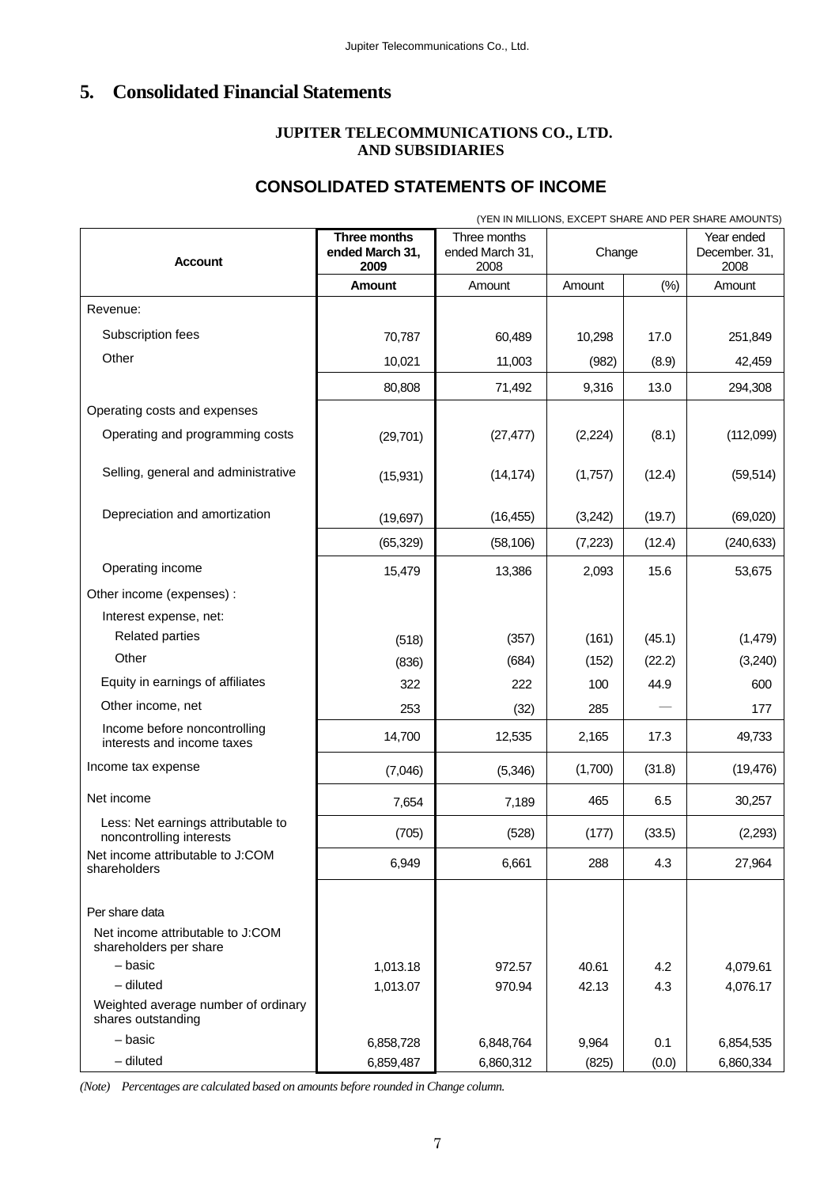# **5. Consolidated Financial Statements**

## **JUPITER TELECOMMUNICATIONS CO., LTD. AND SUBSIDIARIES**

# **CONSOLIDATED STATEMENTS OF INCOME**

|                                                                              |                                         |                                         |          |        | (YEN IN MILLIONS, EXCEPT SHARE AND PER SHARE AMOUNTS) |
|------------------------------------------------------------------------------|-----------------------------------------|-----------------------------------------|----------|--------|-------------------------------------------------------|
| <b>Account</b>                                                               | Three months<br>ended March 31,<br>2009 | Three months<br>ended March 31,<br>2008 | Change   |        | Year ended<br>December. 31,<br>2008                   |
|                                                                              | Amount                                  | Amount                                  | Amount   | (% )   | Amount                                                |
| Revenue:                                                                     |                                         |                                         |          |        |                                                       |
| Subscription fees                                                            | 70,787                                  | 60,489                                  | 10,298   | 17.0   | 251,849                                               |
| Other                                                                        | 10,021                                  | 11,003                                  | (982)    | (8.9)  | 42,459                                                |
|                                                                              | 80,808                                  | 71,492                                  | 9,316    | 13.0   | 294,308                                               |
| Operating costs and expenses                                                 |                                         |                                         |          |        |                                                       |
| Operating and programming costs                                              | (29, 701)                               | (27, 477)                               | (2, 224) | (8.1)  | (112,099)                                             |
| Selling, general and administrative                                          | (15, 931)                               | (14, 174)                               | (1,757)  | (12.4) | (59, 514)                                             |
| Depreciation and amortization                                                | (19, 697)                               | (16, 455)                               | (3,242)  | (19.7) | (69,020)                                              |
|                                                                              | (65, 329)                               | (58, 106)                               | (7, 223) | (12.4) | (240, 633)                                            |
| Operating income                                                             | 15,479                                  | 13,386                                  | 2,093    | 15.6   | 53,675                                                |
| Other income (expenses) :                                                    |                                         |                                         |          |        |                                                       |
| Interest expense, net:                                                       |                                         |                                         |          |        |                                                       |
| <b>Related parties</b>                                                       | (518)                                   | (357)                                   | (161)    | (45.1) | (1,479)                                               |
| Other                                                                        | (836)                                   | (684)                                   | (152)    | (22.2) | (3,240)                                               |
| Equity in earnings of affiliates                                             | 322                                     | 222                                     | 100      | 44.9   | 600                                                   |
| Other income, net                                                            | 253                                     | (32)                                    | 285      |        | 177                                                   |
| Income before noncontrolling<br>interests and income taxes                   | 14,700                                  | 12,535                                  | 2,165    | 17.3   | 49,733                                                |
| Income tax expense                                                           | (7,046)                                 | (5,346)                                 | (1,700)  | (31.8) | (19, 476)                                             |
| Net income                                                                   | 7,654                                   | 7,189                                   | 465      | 6.5    | 30,257                                                |
| Less: Net earnings attributable to<br>noncontrolling interests               | (705)                                   | (528)                                   | (177)    | (33.5) | (2,293)                                               |
| Net income attributable to J:COM<br>shareholders                             | 6,949                                   | 6,661                                   | 288      | 4.3    | 27,964                                                |
| Per share data<br>Net income attributable to J:COM<br>shareholders per share |                                         |                                         |          |        |                                                       |
| - basic                                                                      | 1,013.18                                | 972.57                                  | 40.61    | 4.2    | 4,079.61                                              |
| $-$ diluted                                                                  | 1,013.07                                | 970.94                                  | 42.13    | 4.3    | 4,076.17                                              |
| Weighted average number of ordinary<br>shares outstanding                    |                                         |                                         |          |        |                                                       |
| - basic                                                                      | 6,858,728                               | 6,848,764                               | 9,964    | 0.1    | 6,854,535                                             |
| $-$ diluted                                                                  | 6,859,487                               | 6,860,312                               | (825)    | (0.0)  | 6,860,334                                             |

*(Note) Percentages are calculated based on amounts before rounded in Change column.*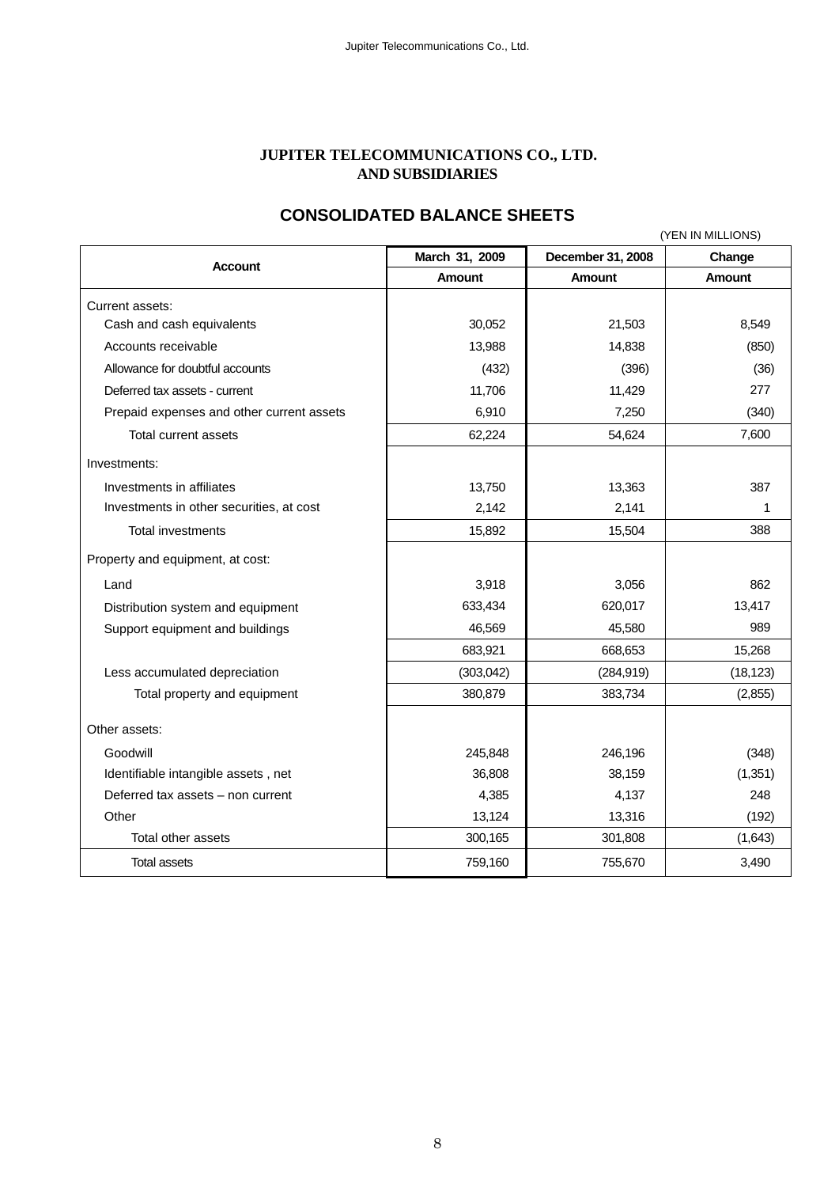#### **JUPITER TELECOMMUNICATIONS CO., LTD. AND SUBSIDIARIES**

# **CONSOLIDATED BALANCE SHEETS**

| (YEN IN MILLIONS)                         |                |                   |               |  |  |
|-------------------------------------------|----------------|-------------------|---------------|--|--|
| <b>Account</b>                            | March 31, 2009 | December 31, 2008 | Change        |  |  |
|                                           | <b>Amount</b>  | <b>Amount</b>     | <b>Amount</b> |  |  |
| Current assets:                           |                |                   |               |  |  |
| Cash and cash equivalents                 | 30,052         | 21,503            | 8,549         |  |  |
| Accounts receivable                       | 13,988         | 14,838            | (850)         |  |  |
| Allowance for doubtful accounts           | (432)          | (396)             | (36)          |  |  |
| Deferred tax assets - current             | 11,706         | 11,429            | 277           |  |  |
| Prepaid expenses and other current assets | 6,910          | 7,250             | (340)         |  |  |
| Total current assets                      | 62,224         | 54,624            | 7,600         |  |  |
| Investments:                              |                |                   |               |  |  |
| Investments in affiliates                 | 13,750         | 13,363            | 387           |  |  |
| Investments in other securities, at cost  | 2,142          | 2,141             | 1             |  |  |
| Total investments                         | 15,892         | 15,504            | 388           |  |  |
| Property and equipment, at cost:          |                |                   |               |  |  |
| Land                                      | 3,918          | 3,056             | 862           |  |  |
| Distribution system and equipment         | 633,434        | 620,017           | 13,417        |  |  |
| Support equipment and buildings           | 46,569         | 45,580            | 989           |  |  |
|                                           | 683,921        | 668,653           | 15,268        |  |  |
| Less accumulated depreciation             | (303, 042)     | (284, 919)        | (18, 123)     |  |  |
| Total property and equipment              | 380,879        | 383,734           | (2,855)       |  |  |
| Other assets:                             |                |                   |               |  |  |
| Goodwill                                  | 245,848        | 246,196           | (348)         |  |  |
| Identifiable intangible assets, net       | 36,808         | 38,159            | (1, 351)      |  |  |
| Deferred tax assets - non current         | 4,385          | 4,137             | 248           |  |  |
| Other                                     | 13,124         | 13,316            | (192)         |  |  |
| Total other assets                        | 300,165        | 301,808           | (1,643)       |  |  |
| <b>Total assets</b>                       | 759,160        | 755,670           | 3,490         |  |  |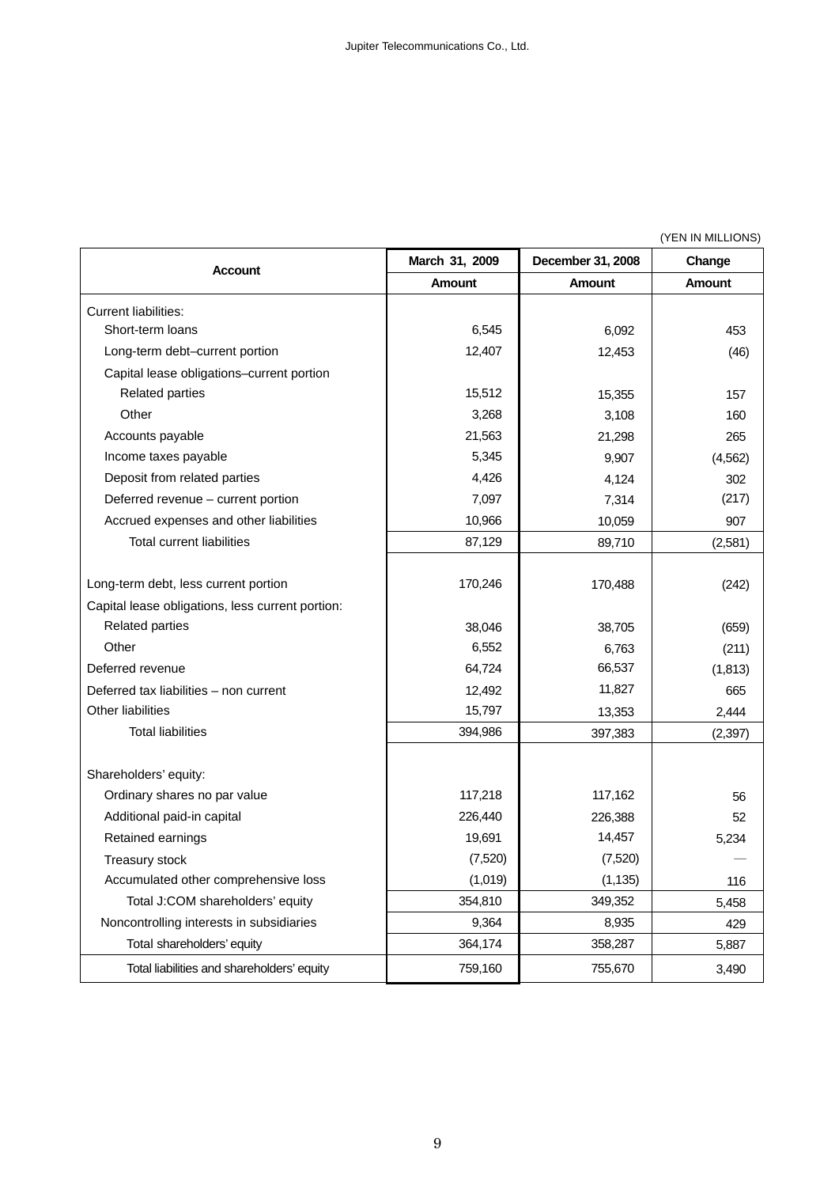(YEN IN MILLIONS)

| Account                                          | March 31, 2009 | December 31, 2008 | Change        |
|--------------------------------------------------|----------------|-------------------|---------------|
|                                                  | <b>Amount</b>  | <b>Amount</b>     | <b>Amount</b> |
| <b>Current liabilities:</b>                      |                |                   |               |
| Short-term loans                                 | 6,545          | 6,092             | 453           |
| Long-term debt-current portion                   | 12,407         | 12,453            | (46)          |
| Capital lease obligations-current portion        |                |                   |               |
| <b>Related parties</b>                           | 15,512         | 15,355            | 157           |
| Other                                            | 3,268          | 3,108             | 160           |
| Accounts payable                                 | 21,563         | 21,298            | 265           |
| Income taxes payable                             | 5,345          | 9,907             | (4, 562)      |
| Deposit from related parties                     | 4,426          | 4,124             | 302           |
| Deferred revenue - current portion               | 7,097          | 7,314             | (217)         |
| Accrued expenses and other liabilities           | 10,966         | 10,059            | 907           |
| <b>Total current liabilities</b>                 | 87,129         | 89,710            | (2,581)       |
|                                                  |                |                   |               |
| Long-term debt, less current portion             | 170,246        | 170,488           | (242)         |
| Capital lease obligations, less current portion: |                |                   |               |
| <b>Related parties</b>                           | 38,046         | 38,705            | (659)         |
| Other                                            | 6,552          | 6,763             | (211)         |
| Deferred revenue                                 | 64,724         | 66,537            | (1, 813)      |
| Deferred tax liabilities - non current           | 12,492         | 11,827            | 665           |
| <b>Other liabilities</b>                         | 15,797         | 13,353            | 2,444         |
| <b>Total liabilities</b>                         | 394,986        | 397,383           | (2, 397)      |
|                                                  |                |                   |               |
| Shareholders' equity:                            |                |                   |               |
| Ordinary shares no par value                     | 117,218        | 117,162           | 56            |
| Additional paid-in capital                       | 226,440        | 226,388           | 52            |
| Retained earnings                                | 19,691         | 14,457            | 5,234         |
| Treasury stock                                   | (7,520)        | (7,520)           |               |
| Accumulated other comprehensive loss             | (1,019)        | (1, 135)          | 116           |
| Total J:COM shareholders' equity                 | 354,810        | 349,352           | 5,458         |
| Noncontrolling interests in subsidiaries         | 9,364          | 8,935             | 429           |
| Total shareholders' equity                       | 364,174        | 358,287           | 5,887         |
| Total liabilities and shareholders' equity       | 759,160        | 755,670           | 3,490         |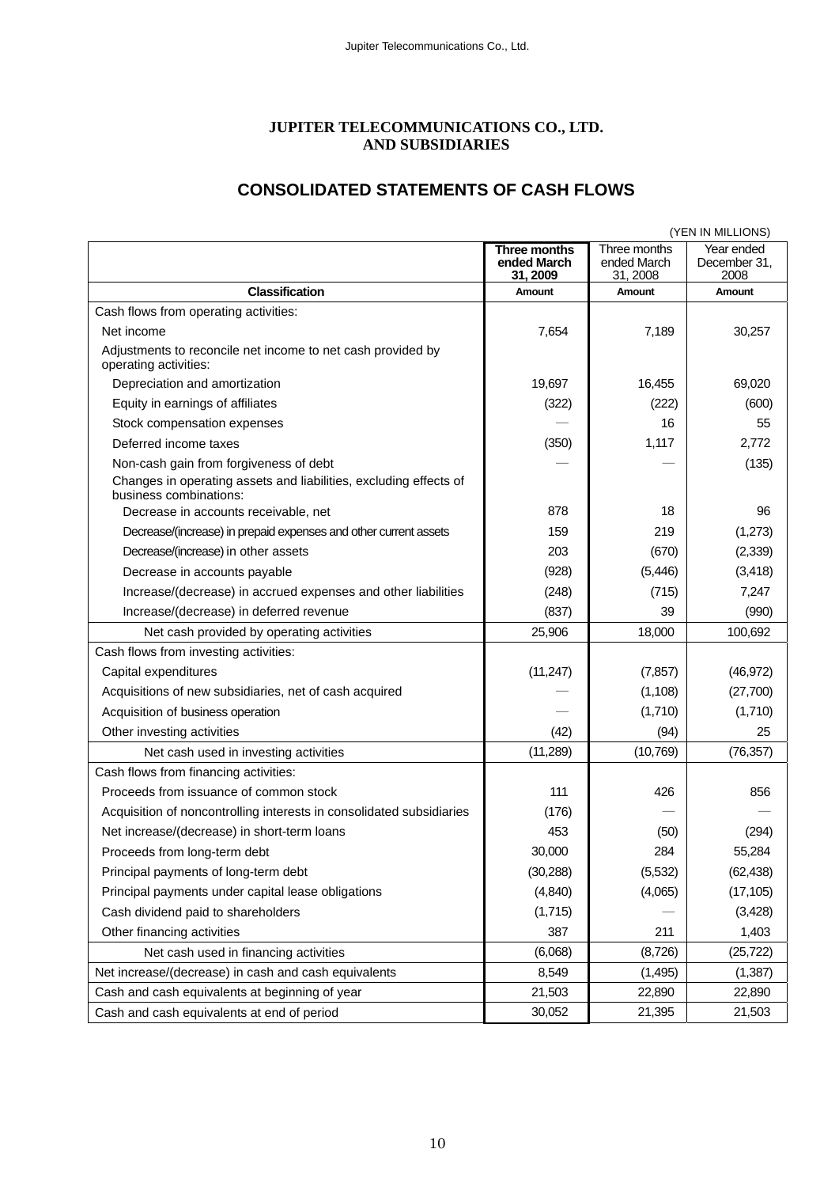#### **JUPITER TELECOMMUNICATIONS CO., LTD. AND SUBSIDIARIES**

# **CONSOLIDATED STATEMENTS OF CASH FLOWS**

|                                                                                                                                                                               | (YEN IN MILLIONS)                       |                                         |                                    |  |  |
|-------------------------------------------------------------------------------------------------------------------------------------------------------------------------------|-----------------------------------------|-----------------------------------------|------------------------------------|--|--|
|                                                                                                                                                                               | Three months<br>ended March<br>31, 2009 | Three months<br>ended March<br>31, 2008 | Year ended<br>December 31,<br>2008 |  |  |
| <b>Classification</b>                                                                                                                                                         | Amount                                  | <b>Amount</b>                           | <b>Amount</b>                      |  |  |
| Cash flows from operating activities:                                                                                                                                         |                                         |                                         |                                    |  |  |
| Net income                                                                                                                                                                    | 7,654                                   | 7,189                                   | 30,257                             |  |  |
| Adjustments to reconcile net income to net cash provided by<br>operating activities:                                                                                          |                                         |                                         |                                    |  |  |
| Depreciation and amortization                                                                                                                                                 | 19,697                                  | 16,455                                  | 69,020                             |  |  |
| Equity in earnings of affiliates                                                                                                                                              | (322)                                   | (222)                                   | (600)                              |  |  |
| Stock compensation expenses                                                                                                                                                   |                                         | 16                                      | 55                                 |  |  |
| Deferred income taxes                                                                                                                                                         | (350)                                   | 1,117                                   | 2,772                              |  |  |
| Non-cash gain from forgiveness of debt<br>Changes in operating assets and liabilities, excluding effects of<br>business combinations:<br>Decrease in accounts receivable, net | 878                                     | 18                                      | (135)<br>96                        |  |  |
| Decrease/(increase) in prepaid expenses and other current assets                                                                                                              | 159                                     | 219                                     | (1,273)                            |  |  |
| Decrease/(increase) in other assets                                                                                                                                           | 203                                     | (670)                                   | (2, 339)                           |  |  |
| Decrease in accounts payable                                                                                                                                                  | (928)                                   | (5, 446)                                | (3, 418)                           |  |  |
| Increase/(decrease) in accrued expenses and other liabilities                                                                                                                 | (248)                                   | (715)                                   | 7,247                              |  |  |
| Increase/(decrease) in deferred revenue                                                                                                                                       | (837)                                   | 39                                      | (990)                              |  |  |
| Net cash provided by operating activities                                                                                                                                     | 25,906                                  | 18,000                                  | 100,692                            |  |  |
| Cash flows from investing activities:                                                                                                                                         |                                         |                                         |                                    |  |  |
| Capital expenditures                                                                                                                                                          | (11, 247)                               | (7, 857)                                | (46, 972)                          |  |  |
| Acquisitions of new subsidiaries, net of cash acquired                                                                                                                        |                                         | (1, 108)                                | (27,700)                           |  |  |
| Acquisition of business operation                                                                                                                                             |                                         | (1,710)                                 | (1,710)                            |  |  |
| Other investing activities                                                                                                                                                    | (42)                                    | (94)                                    | 25                                 |  |  |
| Net cash used in investing activities                                                                                                                                         | (11, 289)                               | (10, 769)                               | (76, 357)                          |  |  |
| Cash flows from financing activities:                                                                                                                                         |                                         |                                         |                                    |  |  |
| Proceeds from issuance of common stock                                                                                                                                        | 111                                     | 426                                     | 856                                |  |  |
| Acquisition of noncontrolling interests in consolidated subsidiaries                                                                                                          | (176)                                   |                                         |                                    |  |  |
| Net increase/(decrease) in short-term loans                                                                                                                                   | 453                                     | (50)                                    | (294)                              |  |  |
| Proceeds from long-term debt                                                                                                                                                  | 30,000                                  | 284                                     | 55,284                             |  |  |
| Principal payments of long-term debt                                                                                                                                          | (30, 288)                               | (5,532)                                 | (62, 438)                          |  |  |
| Principal payments under capital lease obligations                                                                                                                            | (4, 840)                                | (4,065)                                 | (17, 105)                          |  |  |
| Cash dividend paid to shareholders                                                                                                                                            | (1,715)                                 |                                         | (3, 428)                           |  |  |
| Other financing activities                                                                                                                                                    | 387                                     | 211                                     | 1,403                              |  |  |
| Net cash used in financing activities                                                                                                                                         | (6,068)                                 | (8,726)                                 | (25, 722)                          |  |  |
| Net increase/(decrease) in cash and cash equivalents                                                                                                                          | 8,549                                   | (1, 495)                                | (1,387)                            |  |  |
| Cash and cash equivalents at beginning of year                                                                                                                                | 21,503                                  | 22,890                                  | 22,890                             |  |  |
| Cash and cash equivalents at end of period                                                                                                                                    | 30,052                                  | 21,395                                  | 21,503                             |  |  |